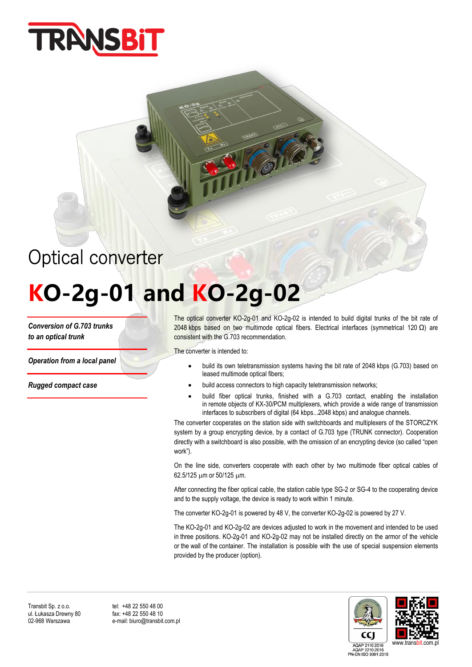

# Optical converter

## **KO-2g-01 and KO-2g-02**

*Conversion of G.703 trunks to an optical trunk*

*Operation from a local panel*

*Rugged compact case*

The optical converter KO-2g-01 and KO-2g-02 is intended to build digital trunks of the bit rate of 2048 kbps based on two multimode optical fibers. Electrical interfaces (symmetrical 120 Ω) are consistent with the G.703 recommendation.

The converter is intended to:

- build its own teletransmission systems having the bit rate of 2048 kbps (G.703) based on leased multimode optical fibers;
- build access connectors to high capacity teletransmission networks;
- build fiber optical trunks, finished with a G.703 contact, enabling the installation in remote objects of KX-30/PCM multiplexers, which provide a wide range of transmission interfaces to subscribers of digital (64 kbps...2048 kbps) and analogue channels.

The converter cooperates on the station side with switchboards and multiplexers of the STORCZYK system by a group encrypting device, by a contact of G.703 type (TRUNK connector). Cooperation directly with a switchboard is also possible, with the omission of an encrypting device (so called "open work").

On the line side, converters cooperate with each other by two multimode fiber optical cables of 62.5/125 um or 50/125 um.

After connecting the fiber optical cable, the station cable type SG-2 or SG-4 to the cooperating device and to the supply voltage, the device is ready to work within 1 minute.

The converter KO-2g-01 is powered by 48 V, the converter KO-2g-02 is powered by 27 V.

The KO-2g-01 and KO-2g-02 are devices adjusted to work in the movement and intended to be used in three positions. KO-2g-01 and KO-2g-02 may not be installed directly on the armor of the vehicle or the wall of the container. The installation is possible with the use of special suspension elements provided by the producer (option).

Transbit Sp. z o.o. tel: +48 22 550 48 00<br>
ul. Łukasza Drewny 80 fax: +48 22 550 48 10 ul. Łukasza Drewny 80<br>02-968 Warszawa

e-mail: biuro@transbit.com.pl